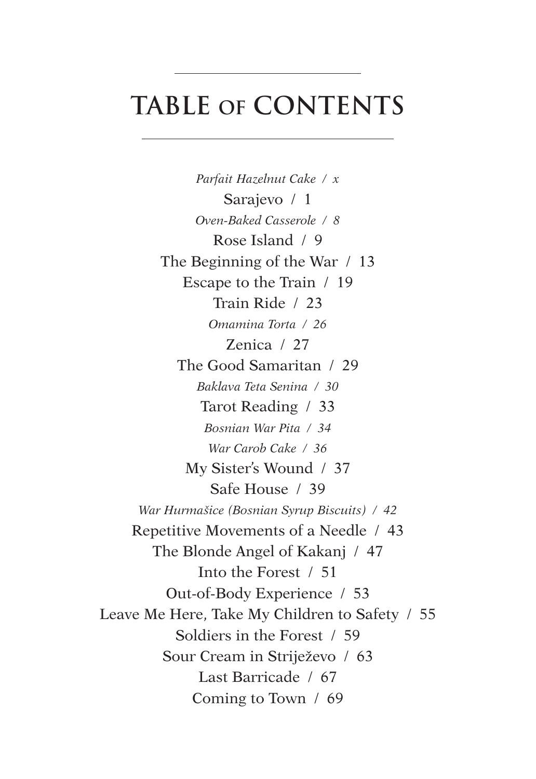## **Table OF Contents**

*Parfait Hazelnut Cake / x* Sarajevo / 1 *Oven-Baked Casserole / 8* Rose Island / 9 The Beginning of the War / 13 Escape to the Train / 19 Train Ride / 23 *Omamina Torta / 26* Zenica / 27 The Good Samaritan / 29 *Baklava Teta Senina / 30* Tarot Reading / 33 *Bosnian War Pita / 34 War Carob Cake / 36* My Sister's Wound / 37 Safe House / 39 *War Hurmašice (Bosnian Syrup Biscuits) / 42* Repetitive Movements of a Needle / 43 The Blonde Angel of Kakanj / 47 Into the Forest / 51 Out-of-Body Experience / 53 Leave Me Here, Take My Children to Safety / 55 Soldiers in the Forest / 59 Sour Cream in Striježevo / 63 Last Barricade / 67 Coming to Town / 69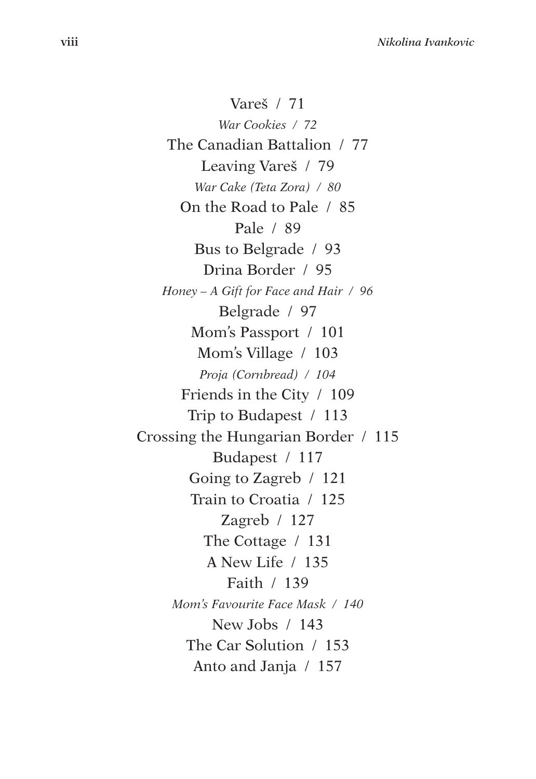Vareš / 71 *War Cookies / 72* The Canadian Battalion / 77 Leaving Vareš / 79 *War Cake (Teta Zora) / 80* On the Road to Pale / 85 Pale / 89 Bus to Belgrade / 93 Drina Border / 95 *Honey – A Gift for Face and Hair / 96* Belgrade / 97 Mom's Passport / 101 Mom's Village / 103 *Proja (Cornbread) / 104* Friends in the City / 109 Trip to Budapest / 113 Crossing the Hungarian Border / 115 Budapest / 117 Going to Zagreb / 121 Train to Croatia / 125 Zagreb / 127 The Cottage / 131 A New Life / 135 Faith / 139 *Mom's Favourite Face Mask / 140* New Jobs / 143 The Car Solution / 153 Anto and Janja / 157